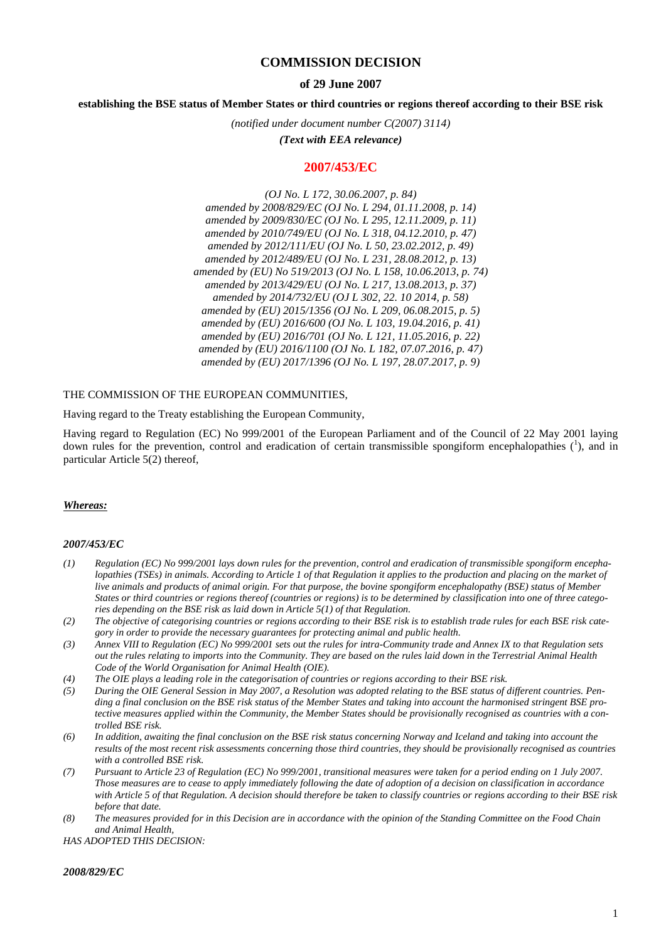# **COMMISSION DECISION**

## **of 29 June 2007**

## **establishing the BSE status of Member States or third countries or regions thereof according to their BSE risk**

*(notified under document number C(2007) 3114)*

*(Text with EEA relevance)*

## **2007/453/EC**

*(OJ No. L 172, 30.06.2007, p. 84) amended by 2008/829/EC (OJ No. L 294, 01.11.2008, p. 14) amended by 2009/830/EC (OJ No. L 295, 12.11.2009, p. 11) amended by 2010/749/EU (OJ No. L 318, 04.12.2010, p. 47) amended by 2012/111/EU (OJ No. L 50, 23.02.2012, p. 49) amended by 2012/489/EU (OJ No. L 231, 28.08.2012, p. 13) amended by (EU) No 519/2013 (OJ No. L 158, 10.06.2013, p. 74) amended by 2013/429/EU (OJ No. L 217, 13.08.2013, p. 37) amended by 2014/732/EU (OJ L 302, 22. 10 2014, p. 58) amended by (EU) 2015/1356 (OJ No. L 209, 06.08.2015, p. 5) amended by (EU) 2016/600 (OJ No. L 103, 19.04.2016, p. 41) amended by (EU) 2016/701 (OJ No. L 121, 11.05.2016, p. 22) amended by (EU) 2016/1100 (OJ No. L 182, 07.07.2016, p. 47) amended by (EU) 2017/1396 (OJ No. L 197, 28.07.2017, p. 9)*

#### THE COMMISSION OF THE EUROPEAN COMMUNITIES,

Having regard to the Treaty establishing the European Community,

Having regard to Regulation (EC) No 999/2001 of the European Parliament and of the Council of 22 May 2001 laying down rules for the prevention, control and eradication of certain transmissible spongiform encephalopathies  $(1)$ , and in particular Article 5(2) thereof,

#### *Whereas:*

#### *2007/453/EC*

- *(1) Regulation (EC) No 999/2001 lays down rules for the prevention, control and eradication of transmissible spongiform encephalopathies (TSEs) in animals. According to Article 1 of that Regulation it applies to the production and placing on the market of live animals and products of animal origin. For that purpose, the bovine spongiform encephalopathy (BSE) status of Member States or third countries or regions thereof (countries or regions) is to be determined by classification into one of three categories depending on the BSE risk as laid down in Article 5(1) of that Regulation.*
- *(2) The objective of categorising countries or regions according to their BSE risk is to establish trade rules for each BSE risk category in order to provide the necessary guarantees for protecting animal and public health.*
- *(3) Annex VIII to Regulation (EC) No 999/2001 sets out the rules for intra-Community trade and Annex IX to that Regulation sets out the rules relating to imports into the Community. They are based on the rules laid down in the Terrestrial Animal Health Code of the World Organisation for Animal Health (OIE).*
- *(4) The OIE plays a leading role in the categorisation of countries or regions according to their BSE risk.*
- *(5) During the OIE General Session in May 2007, a Resolution was adopted relating to the BSE status of different countries. Pending a final conclusion on the BSE risk status of the Member States and taking into account the harmonised stringent BSE protective measures applied within the Community, the Member States should be provisionally recognised as countries with a controlled BSE risk.*
- *(6) In addition, awaiting the final conclusion on the BSE risk status concerning Norway and Iceland and taking into account the results of the most recent risk assessments concerning those third countries, they should be provisionally recognised as countries with a controlled BSE risk.*
- *(7) Pursuant to Article 23 of Regulation (EC) No 999/2001, transitional measures were taken for a period ending on 1 July 2007. Those measures are to cease to apply immediately following the date of adoption of a decision on classification in accordance with Article 5 of that Regulation. A decision should therefore be taken to classify countries or regions according to their BSE risk before that date.*
- *(8) The measures provided for in this Decision are in accordance with the opinion of the Standing Committee on the Food Chain and Animal Health,*

*HAS ADOPTED THIS DECISION:*

#### *2008/829/EC*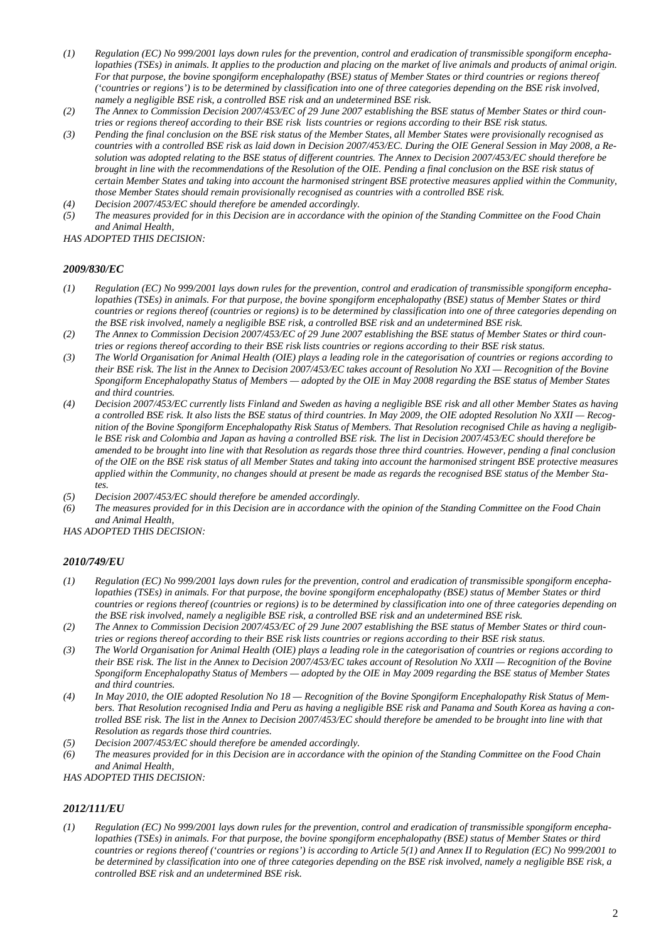- *(1) Regulation (EC) No 999/2001 lays down rules for the prevention, control and eradication of transmissible spongiform encephalopathies (TSEs) in animals. It applies to the production and placing on the market of live animals and products of animal origin. For that purpose, the bovine spongiform encephalopathy (BSE) status of Member States or third countries or regions thereof ('countries or regions') is to be determined by classification into one of three categories depending on the BSE risk involved, namely a negligible BSE risk, a controlled BSE risk and an undetermined BSE risk.*
- *(2) The Annex to Commission Decision 2007/453/EC of 29 June 2007 establishing the BSE status of Member States or third countries or regions thereof according to their BSE risk lists countries or regions according to their BSE risk status.*
- *(3) Pending the final conclusion on the BSE risk status of the Member States, all Member States were provisionally recognised as countries with a controlled BSE risk as laid down in Decision 2007/453/EC. During the OIE General Session in May 2008, a Resolution was adopted relating to the BSE status of different countries. The Annex to Decision 2007/453/EC should therefore be brought in line with the recommendations of the Resolution of the OIE. Pending a final conclusion on the BSE risk status of certain Member States and taking into account the harmonised stringent BSE protective measures applied within the Community, those Member States should remain provisionally recognised as countries with a controlled BSE risk.*
- *(4) Decision 2007/453/EC should therefore be amended accordingly.*
- *(5) The measures provided for in this Decision are in accordance with the opinion of the Standing Committee on the Food Chain and Animal Health,*

*HAS ADOPTED THIS DECISION:*

#### *2009/830/EC*

- *(1) Regulation (EC) No 999/2001 lays down rules for the prevention, control and eradication of transmissible spongiform encephalopathies (TSEs) in animals. For that purpose, the bovine spongiform encephalopathy (BSE) status of Member States or third countries or regions thereof (countries or regions) is to be determined by classification into one of three categories depending on the BSE risk involved, namely a negligible BSE risk, a controlled BSE risk and an undetermined BSE risk.*
- *(2) The Annex to Commission Decision 2007/453/EC of 29 June 2007 establishing the BSE status of Member States or third countries or regions thereof according to their BSE risk lists countries or regions according to their BSE risk status.*
- *(3) The World Organisation for Animal Health (OIE) plays a leading role in the categorisation of countries or regions according to their BSE risk. The list in the Annex to Decision 2007/453/EC takes account of Resolution No XXI — Recognition of the Bovine Spongiform Encephalopathy Status of Members — adopted by the OIE in May 2008 regarding the BSE status of Member States and third countries.*
- *(4) Decision 2007/453/EC currently lists Finland and Sweden as having a negligible BSE risk and all other Member States as having a controlled BSE risk. It also lists the BSE status of third countries. In May 2009, the OIE adopted Resolution No XXII — Recognition of the Bovine Spongiform Encephalopathy Risk Status of Members. That Resolution recognised Chile as having a negligible BSE risk and Colombia and Japan as having a controlled BSE risk. The list in Decision 2007/453/EC should therefore be amended to be brought into line with that Resolution as regards those three third countries. However, pending a final conclusion of the OIE on the BSE risk status of all Member States and taking into account the harmonised stringent BSE protective measures applied within the Community, no changes should at present be made as regards the recognised BSE status of the Member States.*
- *(5) Decision 2007/453/EC should therefore be amended accordingly.*
- *(6) The measures provided for in this Decision are in accordance with the opinion of the Standing Committee on the Food Chain and Animal Health,*

*HAS ADOPTED THIS DECISION:*

## *2010/749/EU*

- *(1) Regulation (EC) No 999/2001 lays down rules for the prevention, control and eradication of transmissible spongiform encephalopathies (TSEs) in animals. For that purpose, the bovine spongiform encephalopathy (BSE) status of Member States or third countries or regions thereof (countries or regions) is to be determined by classification into one of three categories depending on the BSE risk involved, namely a negligible BSE risk, a controlled BSE risk and an undetermined BSE risk.*
- *(2) The Annex to Commission Decision 2007/453/EC of 29 June 2007 establishing the BSE status of Member States or third countries or regions thereof according to their BSE risk lists countries or regions according to their BSE risk status.*
- *(3) The World Organisation for Animal Health (OIE) plays a leading role in the categorisation of countries or regions according to their BSE risk. The list in the Annex to Decision 2007/453/EC takes account of Resolution No XXII — Recognition of the Bovine Spongiform Encephalopathy Status of Members — adopted by the OIE in May 2009 regarding the BSE status of Member States and third countries.*
- *(4) In May 2010, the OIE adopted Resolution No 18 — Recognition of the Bovine Spongiform Encephalopathy Risk Status of Members. That Resolution recognised India and Peru as having a negligible BSE risk and Panama and South Korea as having a controlled BSE risk. The list in the Annex to Decision 2007/453/EC should therefore be amended to be brought into line with that Resolution as regards those third countries.*
- *(5) Decision 2007/453/EC should therefore be amended accordingly.*
- *(6) The measures provided for in this Decision are in accordance with the opinion of the Standing Committee on the Food Chain and Animal Health,*

*HAS ADOPTED THIS DECISION:* 

## *2012/111/EU*

*(1) Regulation (EC) No 999/2001 lays down rules for the prevention, control and eradication of transmissible spongiform encephalopathies (TSEs) in animals. For that purpose, the bovine spongiform encephalopathy (BSE) status of Member States or third countries or regions thereof ('countries or regions') is according to Article 5(1) and Annex II to Regulation (EC) No 999/2001 to be determined by classification into one of three categories depending on the BSE risk involved, namely a negligible BSE risk, a controlled BSE risk and an undetermined BSE risk.*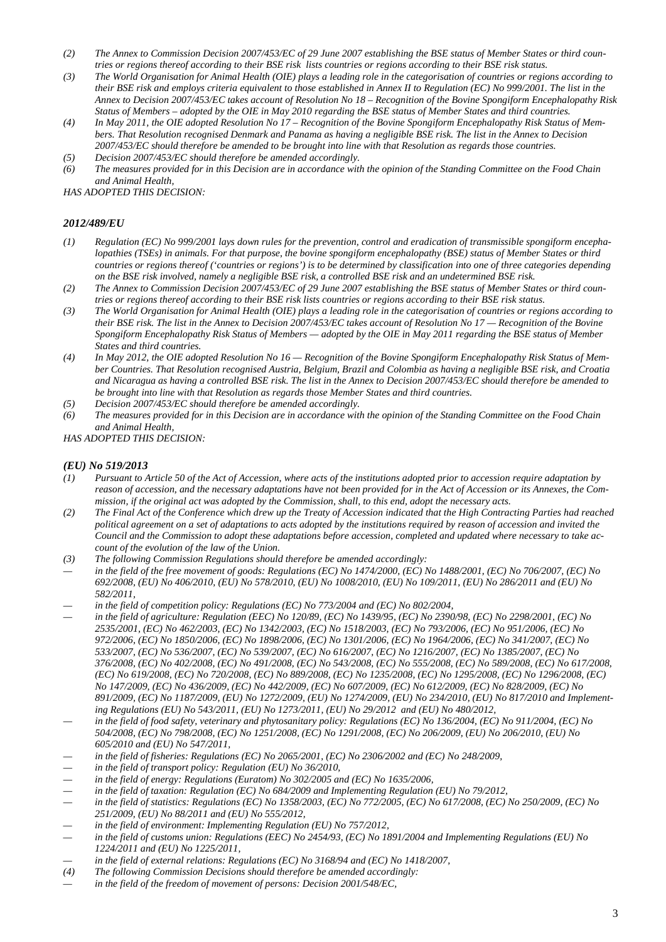- *(2) The Annex to Commission Decision 2007/453/EC of 29 June 2007 establishing the BSE status of Member States or third countries or regions thereof according to their BSE risk lists countries or regions according to their BSE risk status.*
- *(3) The World Organisation for Animal Health (OIE) plays a leading role in the categorisation of countries or regions according to their BSE risk and employs criteria equivalent to those established in Annex II to Regulation (EC) No 999/2001. The list in the Annex to Decision 2007/453/EC takes account of Resolution No 18 – Recognition of the Bovine Spongiform Encephalopathy Risk Status of Members – adopted by the OIE in May 2010 regarding the BSE status of Member States and third countries.*
- *(4) In May 2011, the OIE adopted Resolution No 17 – Recognition of the Bovine Spongiform Encephalopathy Risk Status of Members. That Resolution recognised Denmark and Panama as having a negligible BSE risk. The list in the Annex to Decision 2007/453/EC should therefore be amended to be brought into line with that Resolution as regards those countries.*
- *(5) Decision 2007/453/EC should therefore be amended accordingly. (6) The measures provided for in this Decision are in accordance with the opinion of the Standing Committee on the Food Chain and Animal Health,*

*HAS ADOPTED THIS DECISION:*

## *2012/489/EU*

- *(1) Regulation (EC) No 999/2001 lays down rules for the prevention, control and eradication of transmissible spongiform encephalopathies (TSEs) in animals. For that purpose, the bovine spongiform encephalopathy (BSE) status of Member States or third countries or regions thereof ('countries or regions') is to be determined by classification into one of three categories depending on the BSE risk involved, namely a negligible BSE risk, a controlled BSE risk and an undetermined BSE risk.*
- *(2) The Annex to Commission Decision 2007/453/EC of 29 June 2007 establishing the BSE status of Member States or third countries or regions thereof according to their BSE risk lists countries or regions according to their BSE risk status.*
- *(3) The World Organisation for Animal Health (OIE) plays a leading role in the categorisation of countries or regions according to their BSE risk. The list in the Annex to Decision 2007/453/EC takes account of Resolution No 17 — Recognition of the Bovine Spongiform Encephalopathy Risk Status of Members — adopted by the OIE in May 2011 regarding the BSE status of Member States and third countries.*
- *(4) In May 2012, the OIE adopted Resolution No 16 — Recognition of the Bovine Spongiform Encephalopathy Risk Status of Member Countries. That Resolution recognised Austria, Belgium, Brazil and Colombia as having a negligible BSE risk, and Croatia and Nicaragua as having a controlled BSE risk. The list in the Annex to Decision 2007/453/EC should therefore be amended to be brought into line with that Resolution as regards those Member States and third countries.*
- *(5) Decision 2007/453/EC should therefore be amended accordingly.*
- *(6) The measures provided for in this Decision are in accordance with the opinion of the Standing Committee on the Food Chain and Animal Health,*

*HAS ADOPTED THIS DECISION:*

## *(EU) No 519/2013*

- *(1) Pursuant to Article 50 of the Act of Accession, where acts of the institutions adopted prior to accession require adaptation by reason of accession, and the necessary adaptations have not been provided for in the Act of Accession or its Annexes, the Commission, if the original act was adopted by the Commission, shall, to this end, adopt the necessary acts.*
- *(2) The Final Act of the Conference which drew up the Treaty of Accession indicated that the High Contracting Parties had reached political agreement on a set of adaptations to acts adopted by the institutions required by reason of accession and invited the Council and the Commission to adopt these adaptations before accession, completed and updated where necessary to take account of the evolution of the law of the Union.*
- *(3) The following Commission Regulations should therefore be amended accordingly:*
- *— in the field of the free movement of goods: Regulations (EC) No 1474/2000, (EC) No 1488/2001, (EC) No 706/2007, (EC) No 692/2008, (EU) No 406/2010, (EU) No 578/2010, (EU) No 1008/2010, (EU) No 109/2011, (EU) No 286/2011 and (EU) No 582/2011,*
- in the field of competition policy: Regulations (EC) No 773/2004 and (EC) No 802/2004,
- *— in the field of agriculture: Regulation (EEC) No 120/89, (EC) No 1439/95, (EC) No 2390/98, (EC) No 2298/2001, (EC) No 2535/2001, (EC) No 462/2003, (EC) No 1342/2003, (EC) No 1518/2003, (EC) No 793/2006, (EC) No 951/2006, (EC) No 972/2006, (EC) No 1850/2006, (EC) No 1898/2006, (EC) No 1301/2006, (EC) No 1964/2006, (EC) No 341/2007, (EC) No 533/2007, (EC) No 536/2007, (EC) No 539/2007, (EC) No 616/2007, (EC) No 1216/2007, (EC) No 1385/2007, (EC) No 376/2008, (EC) No 402/2008, (EC) No 491/2008, (EC) No 543/2008, (EC) No 555/2008, (EC) No 589/2008, (EC) No 617/2008, (EC) No 619/2008, (EC) No 720/2008, (EC) No 889/2008, (EC) No 1235/2008, (EC) No 1295/2008, (EC) No 1296/2008, (EC) No 147/2009, (EC) No 436/2009, (EC) No 442/2009, (EC) No 607/2009, (EC) No 612/2009, (EC) No 828/2009, (EC) No 891/2009, (EC) No 1187/2009, (EU) No 1272/2009, (EU) No 1274/2009, (EU) No 234/2010, (EU) No 817/2010 and Implementing Regulations (EU) No 543/2011, (EU) No 1273/2011, (EU) No 29/2012 and (EU) No 480/2012,*
- in the field of food safety, veterinary and phytosanitary policy: Regulations (EC) No 136/2004, (EC) No 911/2004, (EC) No *504/2008, (EC) No 798/2008, (EC) No 1251/2008, (EC) No 1291/2008, (EC) No 206/2009, (EU) No 206/2010, (EU) No 605/2010 and (EU) No 547/2011,*
- *— in the field of fisheries: Regulations (EC) No 2065/2001, (EC) No 2306/2002 and (EC) No 248/2009,*
- in the field of transport policy: Regulation (EU) No 36/2010,
- in the field of energy: Regulations (Euratom) No 302/2005 and (EC) No 1635/2006,
- in the field of taxation: Regulation (EC) No 684/2009 and Implementing Regulation (EU) No 79/2012,
- *— in the field of statistics: Regulations (EC) No 1358/2003, (EC) No 772/2005, (EC) No 617/2008, (EC) No 250/2009, (EC) No 251/2009, (EU) No 88/2011 and (EU) No 555/2012,*
- in the field of environment: Implementing Regulation (EU) No 757/2012,
- *— in the field of customs union: Regulations (EEC) No 2454/93, (EC) No 1891/2004 and Implementing Regulations (EU) No 1224/2011 and (EU) No 1225/2011,*
- in the field of external relations: Regulations (EC) No 3168/94 and (EC) No 1418/2007,
- *(4) The following Commission Decisions should therefore be amended accordingly:*
- in the field of the freedom of movement of persons: Decision 2001/548/EC,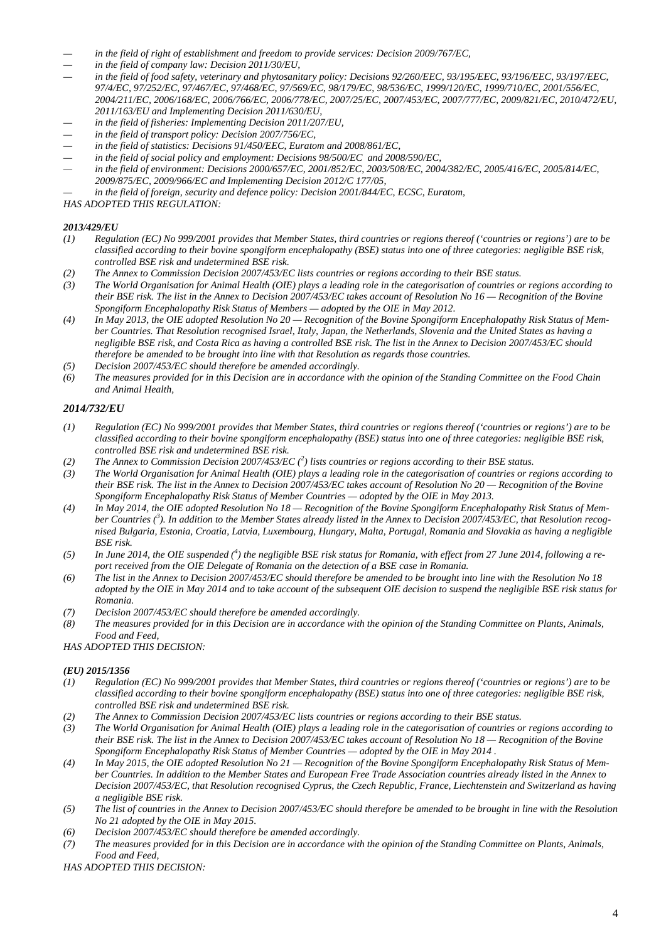- *— in the field of right of establishment and freedom to provide services: Decision 2009/767/EC,*
- in the field of company law: Decision 2011/30/EU,
- in the field of food safety, veterinary and phytosanitary policy: Decisions 92/260/EEC, 93/195/EEC, 93/196/EEC, 93/197/EEC, *97/4/EC, 97/252/EC, 97/467/EC, 97/468/EC, 97/569/EC, 98/179/EC, 98/536/EC, 1999/120/EC, 1999/710/EC, 2001/556/EC, 2004/211/EC, 2006/168/EC, 2006/766/EC, 2006/778/EC, 2007/25/EC, 2007/453/EC, 2007/777/EC, 2009/821/EC, 2010/472/EU, 2011/163/EU and Implementing Decision 2011/630/EU,*
- *— in the field of fisheries: Implementing Decision 2011/207/EU,*
- in the field of transport policy: Decision 2007/756/EC,
- in the field of statistics: Decisions 91/450/EEC, Euratom and 2008/861/EC,
- in the field of social policy and employment: Decisions 98/500/EC and 2008/590/EC,
- *— in the field of environment: Decisions 2000/657/EC, 2001/852/EC, 2003/508/EC, 2004/382/EC, 2005/416/EC, 2005/814/EC, 2009/875/EC, 2009/966/EC and Implementing Decision 2012/C 177/05,*
- in the field of foreign, security and defence policy: Decision 2001/844/EC, ECSC, Euratom,

*HAS ADOPTED THIS REGULATION:*

## *2013/429/EU*

- *(1) Regulation (EC) No 999/2001 provides that Member States, third countries or regions thereof ('countries or regions') are to be classified according to their bovine spongiform encephalopathy (BSE) status into one of three categories: negligible BSE risk, controlled BSE risk and undetermined BSE risk.*
- *(2) The Annex to Commission Decision 2007/453/EC lists countries or regions according to their BSE status.*
- *(3) The World Organisation for Animal Health (OIE) plays a leading role in the categorisation of countries or regions according to their BSE risk. The list in the Annex to Decision 2007/453/EC takes account of Resolution No 16 — Recognition of the Bovine Spongiform Encephalopathy Risk Status of Members — adopted by the OIE in May 2012.*
- *(4) In May 2013, the OIE adopted Resolution No 20 — Recognition of the Bovine Spongiform Encephalopathy Risk Status of Member Countries. That Resolution recognised Israel, Italy, Japan, the Netherlands, Slovenia and the United States as having a negligible BSE risk, and Costa Rica as having a controlled BSE risk. The list in the Annex to Decision 2007/453/EC should therefore be amended to be brought into line with that Resolution as regards those countries.*
- *(5) Decision 2007/453/EC should therefore be amended accordingly.*
- *(6) The measures provided for in this Decision are in accordance with the opinion of the Standing Committee on the Food Chain and Animal Health,*

## *2014/732/EU*

- *(1) Regulation (EC) No 999/2001 provides that Member States, third countries or regions thereof ('countries or regions') are to be classified according to their bovine spongiform encephalopathy (BSE) status into one of three categories: negligible BSE risk, controlled BSE risk and undetermined BSE risk.*
- *(2) The Annex to Commission Decision 2007/453/EC (2 ) lists countries or regions according to their BSE status.*
- *(3) The World Organisation for Animal Health (OIE) plays a leading role in the categorisation of countries or regions according to their BSE risk. The list in the Annex to Decision 2007/453/EC takes account of Resolution No 20 — Recognition of the Bovine Spongiform Encephalopathy Risk Status of Member Countries — adopted by the OIE in May 2013.*
- *(4) In May 2014, the OIE adopted Resolution No 18 — Recognition of the Bovine Spongiform Encephalopathy Risk Status of Mem*ber Countries (<sup>3</sup>). In addition to the Member States already listed in the Annex to Decision 2007/453/EC, that Resolution recog*nised Bulgaria, Estonia, Croatia, Latvia, Luxembourg, Hungary, Malta, Portugal, Romania and Slovakia as having a negligible BSE risk.*
- (5) In June 2014, the OIE suspended (<sup>4</sup>) the negligible BSE risk status for Romania, with effect from 27 June 2014, following a re*port received from the OIE Delegate of Romania on the detection of a BSE case in Romania.*
- *(6) The list in the Annex to Decision 2007/453/EC should therefore be amended to be brought into line with the Resolution No 18 adopted by the OIE in May 2014 and to take account of the subsequent OIE decision to suspend the negligible BSE risk status for Romania.*
- *(7) Decision 2007/453/EC should therefore be amended accordingly.*
- *(8) The measures provided for in this Decision are in accordance with the opinion of the Standing Committee on Plants, Animals, Food and Feed,*

#### *HAS ADOPTED THIS DECISION:*

#### *(EU) 2015/1356*

- *(1) Regulation (EC) No 999/2001 provides that Member States, third countries or regions thereof ('countries or regions') are to be classified according to their bovine spongiform encephalopathy (BSE) status into one of three categories: negligible BSE risk, controlled BSE risk and undetermined BSE risk.*
- *(2) The Annex to Commission Decision 2007/453/EC lists countries or regions according to their BSE status.*
- *(3) The World Organisation for Animal Health (OIE) plays a leading role in the categorisation of countries or regions according to their BSE risk. The list in the Annex to Decision 2007/453/EC takes account of Resolution No 18 — Recognition of the Bovine Spongiform Encephalopathy Risk Status of Member Countries — adopted by the OIE in May 2014 .*
- *(4) In May 2015, the OIE adopted Resolution No 21 — Recognition of the Bovine Spongiform Encephalopathy Risk Status of Member Countries. In addition to the Member States and European Free Trade Association countries already listed in the Annex to Decision 2007/453/EC, that Resolution recognised Cyprus, the Czech Republic, France, Liechtenstein and Switzerland as having a negligible BSE risk.*
- *(5) The list of countries in the Annex to Decision 2007/453/EC should therefore be amended to be brought in line with the Resolution No 21 adopted by the OIE in May 2015.*
- *(6) Decision 2007/453/EC should therefore be amended accordingly.*
- *(7) The measures provided for in this Decision are in accordance with the opinion of the Standing Committee on Plants, Animals, Food and Feed,*

*HAS ADOPTED THIS DECISION:*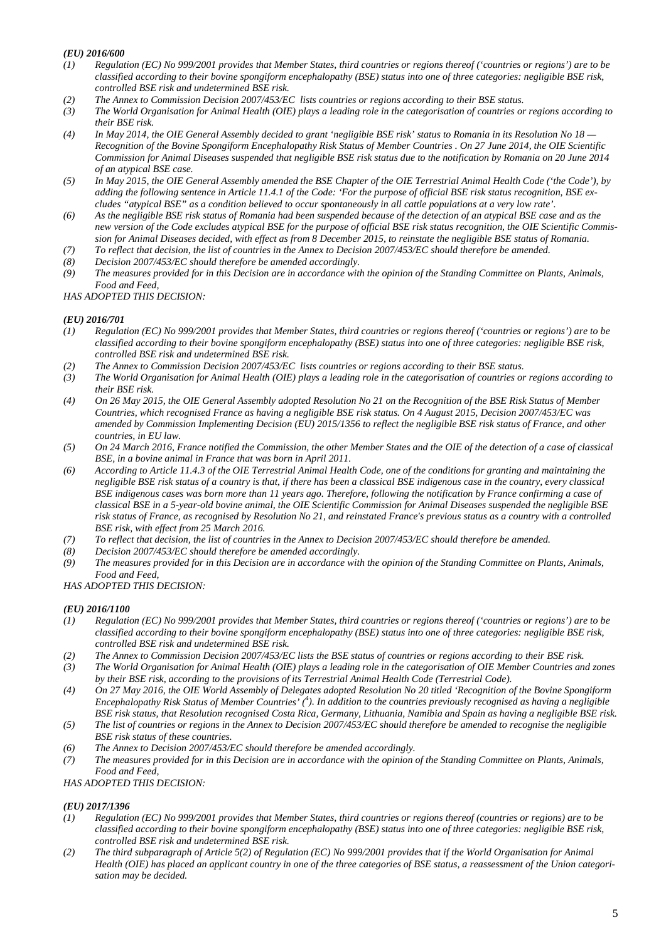## *(EU) 2016/600*

- *(1) Regulation (EC) No 999/2001 provides that Member States, third countries or regions thereof ('countries or regions') are to be classified according to their bovine spongiform encephalopathy (BSE) status into one of three categories: negligible BSE risk, controlled BSE risk and undetermined BSE risk.*
- *(2) The Annex to Commission Decision 2007/453/EC lists countries or regions according to their BSE status.*
- *(3) The World Organisation for Animal Health (OIE) plays a leading role in the categorisation of countries or regions according to their BSE risk.*
- *(4) In May 2014, the OIE General Assembly decided to grant 'negligible BSE risk' status to Romania in its Resolution No 18 — Recognition of the Bovine Spongiform Encephalopathy Risk Status of Member Countries . On 27 June 2014, the OIE Scientific Commission for Animal Diseases suspended that negligible BSE risk status due to the notification by Romania on 20 June 2014 of an atypical BSE case.*
- *(5) In May 2015, the OIE General Assembly amended the BSE Chapter of the OIE Terrestrial Animal Health Code ('the Code'), by adding the following sentence in Article 11.4.1 of the Code: 'For the purpose of official BSE risk status recognition, BSE excludes "atypical BSE" as a condition believed to occur spontaneously in all cattle populations at a very low rate'.*
- *(6) As the negligible BSE risk status of Romania had been suspended because of the detection of an atypical BSE case and as the new version of the Code excludes atypical BSE for the purpose of official BSE risk status recognition, the OIE Scientific Commission for Animal Diseases decided, with effect as from 8 December 2015, to reinstate the negligible BSE status of Romania.*
- *(7) To reflect that decision, the list of countries in the Annex to Decision 2007/453/EC should therefore be amended.*
- *(8) Decision 2007/453/EC should therefore be amended accordingly.*
- *(9) The measures provided for in this Decision are in accordance with the opinion of the Standing Committee on Plants, Animals, Food and Feed,*

#### *HAS ADOPTED THIS DECISION:*

#### *(EU) 2016/701*

- *(1) Regulation (EC) No 999/2001 provides that Member States, third countries or regions thereof ('countries or regions') are to be classified according to their bovine spongiform encephalopathy (BSE) status into one of three categories: negligible BSE risk, controlled BSE risk and undetermined BSE risk.*
- 
- *(2) The Annex to Commission Decision 2007/453/EC lists countries or regions according to their BSE status. (3) The World Organisation for Animal Health (OIE) plays a leading role in the categorisation of countries or regions according to their BSE risk.*
- *(4) On 26 May 2015, the OIE General Assembly adopted Resolution No 21 on the Recognition of the BSE Risk Status of Member Countries, which recognised France as having a negligible BSE risk status. On 4 August 2015, Decision 2007/453/EC was amended by Commission Implementing Decision (EU) 2015/1356 to reflect the negligible BSE risk status of France, and other countries, in EU law.*
- *(5) On 24 March 2016, France notified the Commission, the other Member States and the OIE of the detection of a case of classical BSE, in a bovine animal in France that was born in April 2011.*
- *(6) According to Article 11.4.3 of the OIE Terrestrial Animal Health Code, one of the conditions for granting and maintaining the negligible BSE risk status of a country is that, if there has been a classical BSE indigenous case in the country, every classical BSE indigenous cases was born more than 11 years ago. Therefore, following the notification by France confirming a case of classical BSE in a 5-year-old bovine animal, the OIE Scientific Commission for Animal Diseases suspended the negligible BSE risk status of France, as recognised by Resolution No 21, and reinstated France's previous status as a country with a controlled BSE risk, with effect from 25 March 2016.*
- *(7) To reflect that decision, the list of countries in the Annex to Decision 2007/453/EC should therefore be amended.*
- *(8) Decision 2007/453/EC should therefore be amended accordingly.*
- *(9) The measures provided for in this Decision are in accordance with the opinion of the Standing Committee on Plants, Animals, Food and Feed,*

## *HAS ADOPTED THIS DECISION:*

#### *(EU) 2016/1100*

- *(1) Regulation (EC) No 999/2001 provides that Member States, third countries or regions thereof ('countries or regions') are to be classified according to their bovine spongiform encephalopathy (BSE) status into one of three categories: negligible BSE risk, controlled BSE risk and undetermined BSE risk.*
- *(2) The Annex to Commission Decision 2007/453/EC lists the BSE status of countries or regions according to their BSE risk.*
- *(3) The World Organisation for Animal Health (OIE) plays a leading role in the categorisation of OIE Member Countries and zones by their BSE risk, according to the provisions of its Terrestrial Animal Health Code (Terrestrial Code).*
- *(4) On 27 May 2016, the OIE World Assembly of Delegates adopted Resolution No 20 titled 'Recognition of the Bovine Spongiform*  Encephalopathy Risk Status of Member Countries' (<sup>4</sup>). In addition to the countries previously recognised as having a negligible *BSE risk status, that Resolution recognised Costa Rica, Germany, Lithuania, Namibia and Spain as having a negligible BSE risk.*
- *(5) The list of countries or regions in the Annex to Decision 2007/453/EC should therefore be amended to recognise the negligible BSE risk status of these countries.*
- *(6) The Annex to Decision 2007/453/EC should therefore be amended accordingly.*
- *(7) The measures provided for in this Decision are in accordance with the opinion of the Standing Committee on Plants, Animals, Food and Feed,*

*HAS ADOPTED THIS DECISION:*

#### *(EU) 2017/1396*

- *(1) Regulation (EC) No 999/2001 provides that Member States, third countries or regions thereof (countries or regions) are to be classified according to their bovine spongiform encephalopathy (BSE) status into one of three categories: negligible BSE risk, controlled BSE risk and undetermined BSE risk.*
- *(2) The third subparagraph of Article 5(2) of Regulation (EC) No 999/2001 provides that if the World Organisation for Animal Health (OIE) has placed an applicant country in one of the three categories of BSE status, a reassessment of the Union categorisation may be decided.*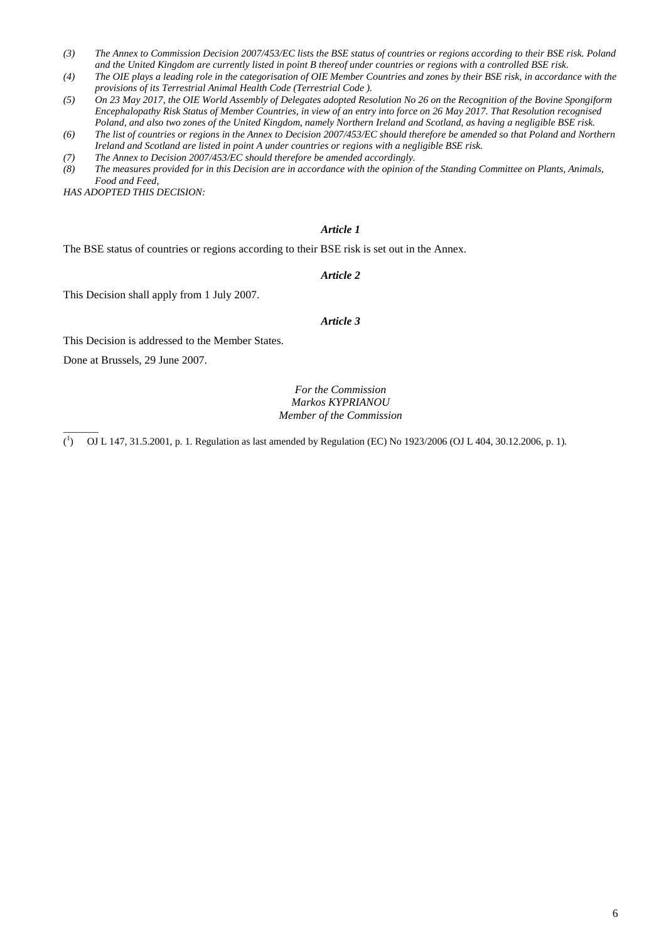- *(3) The Annex to Commission Decision 2007/453/EC lists the BSE status of countries or regions according to their BSE risk. Poland and the United Kingdom are currently listed in point B thereof under countries or regions with a controlled BSE risk.*
- *(4) The OIE plays a leading role in the categorisation of OIE Member Countries and zones by their BSE risk, in accordance with the provisions of its Terrestrial Animal Health Code (Terrestrial Code ).*
- *(5) On 23 May 2017, the OIE World Assembly of Delegates adopted Resolution No 26 on the Recognition of the Bovine Spongiform Encephalopathy Risk Status of Member Countries, in view of an entry into force on 26 May 2017. That Resolution recognised Poland, and also two zones of the United Kingdom, namely Northern Ireland and Scotland, as having a negligible BSE risk.*
- *(6) The list of countries or regions in the Annex to Decision 2007/453/EC should therefore be amended so that Poland and Northern Ireland and Scotland are listed in point A under countries or regions with a negligible BSE risk.*
- *(7) The Annex to Decision 2007/453/EC should therefore be amended accordingly.*
- *(8) The measures provided for in this Decision are in accordance with the opinion of the Standing Committee on Plants, Animals, Food and Feed,*

*HAS ADOPTED THIS DECISION:*

## *Article 1*

The BSE status of countries or regions according to their BSE risk is set out in the Annex.

#### *Article 2*

This Decision shall apply from 1 July 2007.

#### *Article 3*

This Decision is addressed to the Member States.

Done at Brussels, 29 June 2007.

 $\overline{\phantom{a}}$ 

## *For the Commission Markos KYPRIANOU Member of the Commission*

 $({}^1$ ) OJ L 147, 31.5.2001, p. 1. Regulation as last amended by Regulation (EC) No 1923/2006 (OJ L 404, 30.12.2006, p. 1).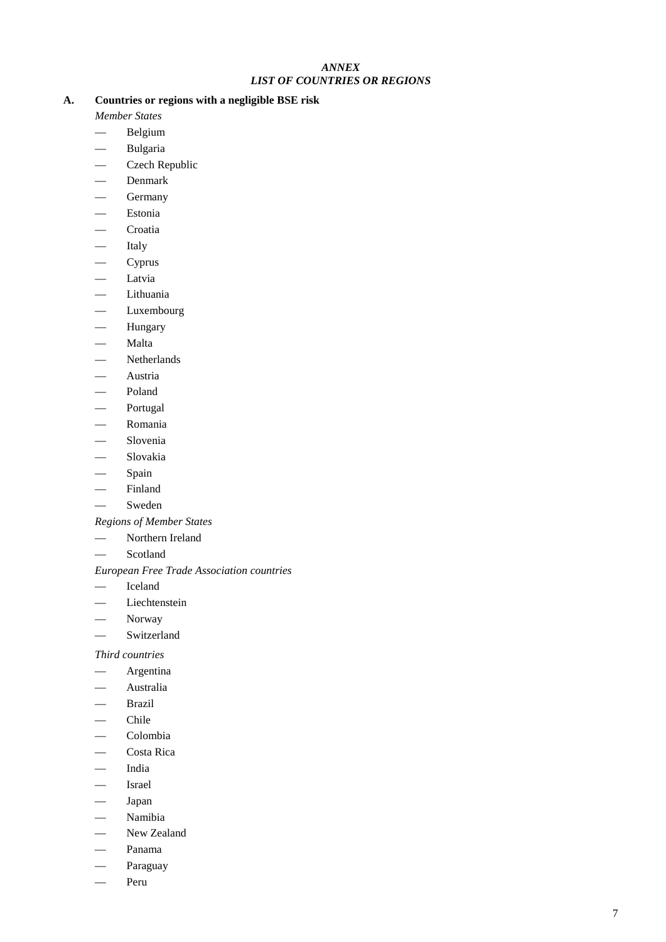## *ANNEX LIST OF COUNTRIES OR REGIONS*

## **A. Countries or regions with a negligible BSE risk**

*Member States*

- Belgium
- Bulgaria
- Czech Republic
- Denmark
- **Germany**
- Estonia
- Croatia
- Italy
- Cyprus
- Latvia
- Lithuania
- Luxembourg
- Hungary
- Malta
- Netherlands
- Austria
- Poland
- Portugal
- Romania
- Slovenia
- Slovakia
- Spain
- Finland
- **Sweden**

# *Regions of Member States*

- Northern Ireland
- Scotland

## *European Free Trade Association countries*

- Iceland
- Liechtenstein
- Norway
- Switzerland

# *Third countries*

- Argentina
- Australia
- Brazil
- Chile
- Colombia
- Costa Rica
- India
- Israel
- Japan
- Namibia
- New Zealand
- Panama
- Paraguay
- Peru